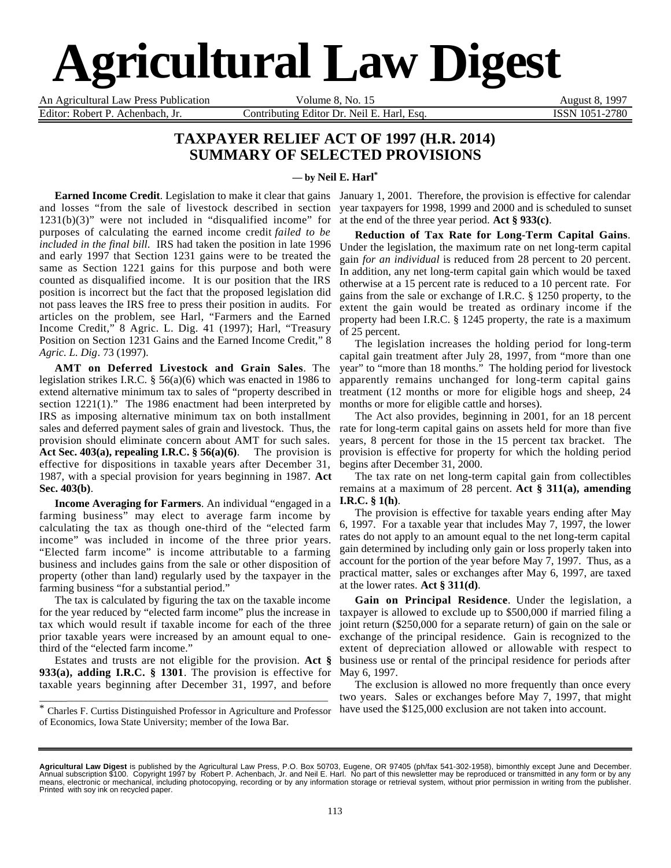# **Agricultural Law Digest**

An Agricultural Law Press Publication **Volume 8, No. 15** August 8, 1997 Editor: Robert P. Achenbach, Jr. Contributing Editor Dr. Neil E. Harl, Esq. ISSN 1051-2780

### **TAXPAYER RELIEF ACT OF 1997 (H.R. 2014) SUMMARY OF SELECTED PROVISIONS**

**— by Neil E. Harl\***

**Earned Income Credit**. Legislation to make it clear that gains and losses "from the sale of livestock described in section 1231(b)(3)" were not included in "disqualified income" for purposes of calculating the earned income credit *failed to be included in the final bill*. IRS had taken the position in late 1996 and early 1997 that Section 1231 gains were to be treated the same as Section 1221 gains for this purpose and both were counted as disqualified income. It is our position that the IRS position is incorrect but the fact that the proposed legislation did not pass leaves the IRS free to press their position in audits. For articles on the problem, see Harl, "Farmers and the Earned Income Credit," 8 Agric. L. Dig. 41 (1997); Harl, "Treasury Position on Section 1231 Gains and the Earned Income Credit," 8 *Agric. L. Dig*. 73 (1997).

**AMT on Deferred Livestock and Grain Sales**. The legislation strikes I.R.C. § 56(a)(6) which was enacted in 1986 to extend alternative minimum tax to sales of "property described in section 1221(1)." The 1986 enactment had been interpreted by IRS as imposing alternative minimum tax on both installment sales and deferred payment sales of grain and livestock. Thus, the provision should eliminate concern about AMT for such sales. **Act Sec. 403(a), repealing I.R.C. § 56(a)(6)**. The provision is effective for dispositions in taxable years after December 31, 1987, with a special provision for years beginning in 1987. **Act Sec. 403(b)***.*

**Income Averaging for Farmers**. An individual "engaged in a farming business" may elect to average farm income by calculating the tax as though one-third of the "elected farm income" was included in income of the three prior years. "Elected farm income" is income attributable to a farming business and includes gains from the sale or other disposition of property (other than land) regularly used by the taxpayer in the farming business "for a substantial period."

The tax is calculated by figuring the tax on the taxable income for the year reduced by "elected farm income" plus the increase in tax which would result if taxable income for each of the three prior taxable years were increased by an amount equal to onethird of the "elected farm income."

Estates and trusts are not eligible for the provision. **Act § 933(a), adding I.R.C. § 1301**. The provision is effective for taxable years beginning after December 31, 1997, and before

January 1, 2001. Therefore, the provision is effective for calendar year taxpayers for 1998, 1999 and 2000 and is scheduled to sunset at the end of the three year period. **Act § 933(c)**.

**Reduction of Tax Rate for Long-Term Capital Gains**. Under the legislation, the maximum rate on net long-term capital gain *for an individual* is reduced from 28 percent to 20 percent. In addition, any net long-term capital gain which would be taxed otherwise at a 15 percent rate is reduced to a 10 percent rate. For gains from the sale or exchange of I.R.C. § 1250 property, to the extent the gain would be treated as ordinary income if the property had been I.R.C. § 1245 property, the rate is a maximum of 25 percent.

The legislation increases the holding period for long-term capital gain treatment after July 28, 1997, from "more than one year" to "more than 18 months." The holding period for livestock apparently remains unchanged for long-term capital gains treatment (12 months or more for eligible hogs and sheep, 24 months or more for eligible cattle and horses).

The Act also provides, beginning in 2001, for an 18 percent rate for long-term capital gains on assets held for more than five years, 8 percent for those in the 15 percent tax bracket. The provision is effective for property for which the holding period begins after December 31, 2000.

The tax rate on net long-term capital gain from collectibles remains at a maximum of 28 percent. **Act § 311(a), amending I.R.C. § 1(h)**.

The provision is effective for taxable years ending after May 6, 1997. For a taxable year that includes May 7, 1997, the lower rates do not apply to an amount equal to the net long-term capital gain determined by including only gain or loss properly taken into account for the portion of the year before May 7, 1997. Thus, as a practical matter, sales or exchanges after May 6, 1997, are taxed at the lower rates. **Act § 311(d)**.

**Gain on Principal Residence**. Under the legislation, a taxpayer is allowed to exclude up to \$500,000 if married filing a joint return (\$250,000 for a separate return) of gain on the sale or exchange of the principal residence. Gain is recognized to the extent of depreciation allowed or allowable with respect to business use or rental of the principal residence for periods after May 6, 1997.

The exclusion is allowed no more frequently than once every two years. Sales or exchanges before May 7, 1997, that might have used the \$125,000 exclusion are not taken into account.

\_\_\_\_\_\_\_\_\_\_\_\_\_\_\_\_\_\_\_\_\_\_\_\_\_\_\_\_\_\_\_\_\_\_\_\_\_\_\_\_\_\_\_\_\_\_\_\_\_\_\_\_\_\_\_\_\_\_ \* Charles F. Curtiss Distinguished Professor in Agriculture and Professor of Economics, Iowa State University; member of the Iowa Bar.

**Agricultural Law Digest** is published by the Agricultural Law Press, P.O. Box 50703, Eugene, OR 97405 (ph/fax 541-302-1958), bimonthly except June and December.<br>Annual subscription \$100. Copyright 1997 by Robert P. Achenb means, electronic or mechanical, including photocopying, recording or by any information storage or retrieval system, without prior permission in writing from the publisher. Printed with soy ink on recycled paper.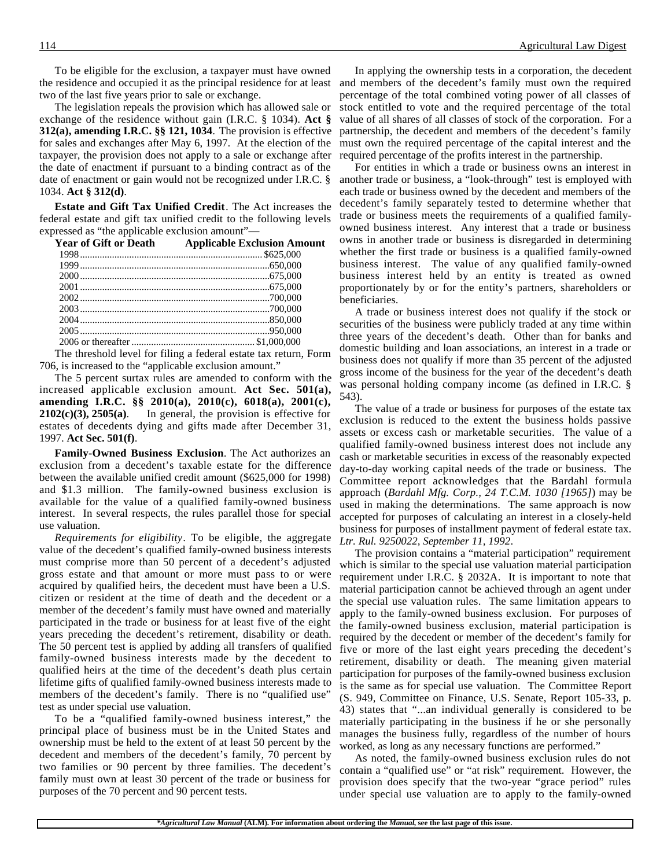To be eligible for the exclusion, a taxpayer must have owned the residence and occupied it as the principal residence for at least two of the last five years prior to sale or exchange.

The legislation repeals the provision which has allowed sale or exchange of the residence without gain (I.R.C. § 1034). **Act § 312(a), amending I.R.C. §§ 121, 1034**. The provision is effective for sales and exchanges after May 6, 1997. At the election of the taxpayer, the provision does not apply to a sale or exchange after the date of enactment if pursuant to a binding contract as of the date of enactment or gain would not be recognized under I.R.C. § 1034. **Act § 312(d)**.

**Estate and Gift Tax Unified Credit**. The Act increases the federal estate and gift tax unified credit to the following levels expressed as "the applicable exclusion amount"—

| <b>Year of Gift or Death</b> | <b>Applicable Exclusion Amount</b> |
|------------------------------|------------------------------------|
|                              |                                    |
|                              |                                    |
|                              |                                    |
|                              |                                    |
|                              |                                    |
|                              |                                    |
|                              |                                    |
|                              |                                    |
|                              |                                    |

The threshold level for filing a federal estate tax return, Form 706, is increased to the "applicable exclusion amount."

The 5 percent surtax rules are amended to conform with the increased applicable exclusion amount. **Act Sec. 501(a), amending I.R.C. §§ 2010(a), 2010(c), 6018(a), 2001(c), 2102(c)(3), 2505(a)**. In general, the provision is effective for estates of decedents dying and gifts made after December 31, 1997. **Act Sec. 501(f)**.

**Family-Owned Business Exclusion**. The Act authorizes an exclusion from a decedent's taxable estate for the difference between the available unified credit amount (\$625,000 for 1998) and \$1.3 million. The family-owned business exclusion is available for the value of a qualified family-owned business interest. In several respects, the rules parallel those for special use valuation.

*Requirements for eligibility*. To be eligible, the aggregate value of the decedent's qualified family-owned business interests must comprise more than 50 percent of a decedent's adjusted gross estate and that amount or more must pass to or were acquired by qualified heirs, the decedent must have been a U.S. citizen or resident at the time of death and the decedent or a member of the decedent's family must have owned and materially participated in the trade or business for at least five of the eight years preceding the decedent's retirement, disability or death. The 50 percent test is applied by adding all transfers of qualified family-owned business interests made by the decedent to qualified heirs at the time of the decedent's death plus certain lifetime gifts of qualified family-owned business interests made to members of the decedent's family. There is no "qualified use" test as under special use valuation.

To be a "qualified family-owned business interest," the principal place of business must be in the United States and ownership must be held to the extent of at least 50 percent by the decedent and members of the decedent's family, 70 percent by two families or 90 percent by three families. The decedent's family must own at least 30 percent of the trade or business for purposes of the 70 percent and 90 percent tests.

In applying the ownership tests in a corporation, the decedent and members of the decedent's family must own the required percentage of the total combined voting power of all classes of stock entitled to vote and the required percentage of the total value of all shares of all classes of stock of the corporation. For a partnership, the decedent and members of the decedent's family must own the required percentage of the capital interest and the required percentage of the profits interest in the partnership.

For entities in which a trade or business owns an interest in another trade or business, a "look-through" test is employed with each trade or business owned by the decedent and members of the decedent's family separately tested to determine whether that trade or business meets the requirements of a qualified familyowned business interest. Any interest that a trade or business owns in another trade or business is disregarded in determining whether the first trade or business is a qualified family-owned business interest. The value of any qualified family-owned business interest held by an entity is treated as owned proportionately by or for the entity's partners, shareholders or beneficiaries.

A trade or business interest does not qualify if the stock or securities of the business were publicly traded at any time within three years of the decedent's death. Other than for banks and domestic building and loan associations, an interest in a trade or business does not qualify if more than 35 percent of the adjusted gross income of the business for the year of the decedent's death was personal holding company income (as defined in I.R.C. § 543).

The value of a trade or business for purposes of the estate tax exclusion is reduced to the extent the business holds passive assets or excess cash or marketable securities. The value of a qualified family-owned business interest does not include any cash or marketable securities in excess of the reasonably expected day-to-day working capital needs of the trade or business. The Committee report acknowledges that the Bardahl formula approach (*Bardahl Mfg. Corp., 24 T.C.M. 1030 [1965]*) may be used in making the determinations. The same approach is now accepted for purposes of calculating an interest in a closely-held business for purposes of installment payment of federal estate tax. *Ltr. Rul. 9250022, September 11, 1992*.

The provision contains a "material participation" requirement which is similar to the special use valuation material participation requirement under I.R.C. § 2032A. It is important to note that material participation cannot be achieved through an agent under the special use valuation rules. The same limitation appears to apply to the family-owned business exclusion. For purposes of the family-owned business exclusion, material participation is required by the decedent or member of the decedent's family for five or more of the last eight years preceding the decedent's retirement, disability or death. The meaning given material participation for purposes of the family-owned business exclusion is the same as for special use valuation. The Committee Report (S. 949, Committee on Finance, U.S. Senate, Report 105-33, p. 43) states that "...an individual generally is considered to be materially participating in the business if he or she personally manages the business fully, regardless of the number of hours worked, as long as any necessary functions are performed."

As noted, the family-owned business exclusion rules do not contain a "qualified use" or "at risk" requirement. However, the provision does specify that the two-year "grace period" rules under special use valuation are to apply to the family-owned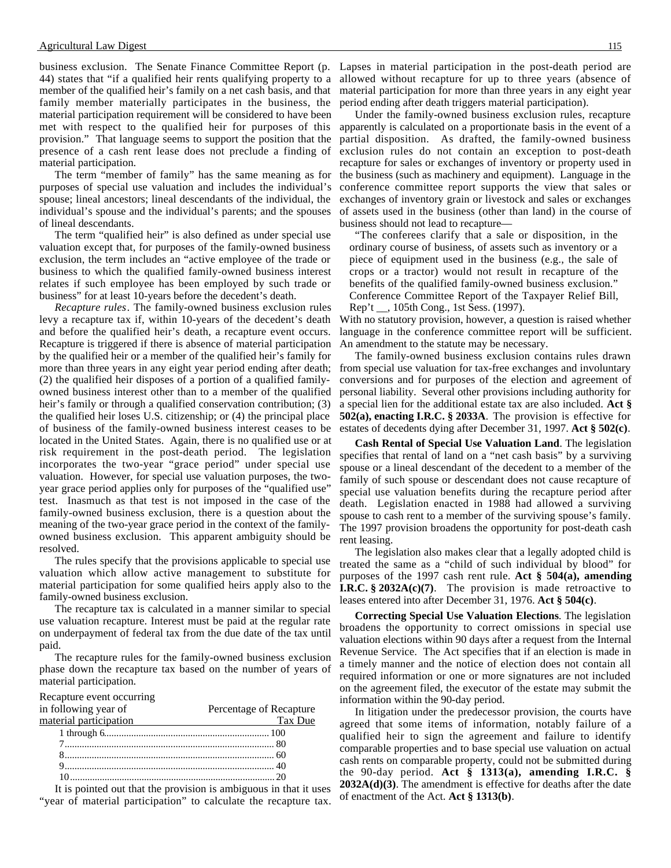business exclusion. The Senate Finance Committee Report (p. Lapses in material participation in the post-death period are 44) states that "if a qualified heir rents qualifying property to a member of the qualified heir's family on a net cash basis, and that family member materially participates in the business, the material participation requirement will be considered to have been met with respect to the qualified heir for purposes of this provision." That language seems to support the position that the presence of a cash rent lease does not preclude a finding of material participation.

The term "member of family" has the same meaning as for purposes of special use valuation and includes the individual's spouse; lineal ancestors; lineal descendants of the individual, the individual's spouse and the individual's parents; and the spouses of lineal descendants.

The term "qualified heir" is also defined as under special use valuation except that, for purposes of the family-owned business exclusion, the term includes an "active employee of the trade or business to which the qualified family-owned business interest relates if such employee has been employed by such trade or business" for at least 10-years before the decedent's death.

*Recapture rules*. The family-owned business exclusion rules levy a recapture tax if, within 10-years of the decedent's death and before the qualified heir's death, a recapture event occurs. Recapture is triggered if there is absence of material participation by the qualified heir or a member of the qualified heir's family for more than three years in any eight year period ending after death; (2) the qualified heir disposes of a portion of a qualified familyowned business interest other than to a member of the qualified heir's family or through a qualified conservation contribution; (3) the qualified heir loses U.S. citizenship; or (4) the principal place of business of the family-owned business interest ceases to be located in the United States. Again, there is no qualified use or at risk requirement in the post-death period. The legislation incorporates the two-year "grace period" under special use valuation. However, for special use valuation purposes, the twoyear grace period applies only for purposes of the "qualified use" test. Inasmuch as that test is not imposed in the case of the family-owned business exclusion, there is a question about the meaning of the two-year grace period in the context of the familyowned business exclusion. This apparent ambiguity should be resolved.

The rules specify that the provisions applicable to special use valuation which allow active management to substitute for material participation for some qualified heirs apply also to the family-owned business exclusion.

The recapture tax is calculated in a manner similar to special use valuation recapture. Interest must be paid at the regular rate on underpayment of federal tax from the due date of the tax until paid.

The recapture rules for the family-owned business exclusion phase down the recapture tax based on the number of years of material participation.

Recapture event occurring

| Percentage of Recapture |
|-------------------------|
| Tax Due                 |
|                         |
|                         |
|                         |
|                         |
|                         |
|                         |

It is pointed out that the provision is ambiguous in that it uses "year of material participation" to calculate the recapture tax.

allowed without recapture for up to three years (absence of material participation for more than three years in any eight year period ending after death triggers material participation).

Under the family-owned business exclusion rules, recapture apparently is calculated on a proportionate basis in the event of a partial disposition. As drafted, the family-owned business exclusion rules do not contain an exception to post-death recapture for sales or exchanges of inventory or property used in the business (such as machinery and equipment). Language in the conference committee report supports the view that sales or exchanges of inventory grain or livestock and sales or exchanges of assets used in the business (other than land) in the course of business should not lead to recapture—

"The conferees clarify that a sale or disposition, in the ordinary course of business, of assets such as inventory or a piece of equipment used in the business (e.g., the sale of crops or a tractor) would not result in recapture of the benefits of the qualified family-owned business exclusion." Conference Committee Report of the Taxpayer Relief Bill, Rep't \_\_, 105th Cong., 1st Sess. (1997).

With no statutory provision, however, a question is raised whether language in the conference committee report will be sufficient. An amendment to the statute may be necessary.

The family-owned business exclusion contains rules drawn from special use valuation for tax-free exchanges and involuntary conversions and for purposes of the election and agreement of personal liability. Several other provisions including authority for a special lien for the additional estate tax are also included. **Act § 502(a), enacting I.R.C. § 2033A**. The provision is effective for estates of decedents dying after December 31, 1997. **Act § 502(c)**.

**Cash Rental of Special Use Valuation Land**. The legislation specifies that rental of land on a "net cash basis" by a surviving spouse or a lineal descendant of the decedent to a member of the family of such spouse or descendant does not cause recapture of special use valuation benefits during the recapture period after death. Legislation enacted in 1988 had allowed a surviving spouse to cash rent to a member of the surviving spouse's family. The 1997 provision broadens the opportunity for post-death cash rent leasing.

The legislation also makes clear that a legally adopted child is treated the same as a "child of such individual by blood" for purposes of the 1997 cash rent rule. **Act § 504(a), amending I.R.C. § 2032A(c)(7)**. The provision is made retroactive to leases entered into after December 31, 1976. **Act § 504(c)**.

**Correcting Special Use Valuation Elections**. The legislation broadens the opportunity to correct omissions in special use valuation elections within 90 days after a request from the Internal Revenue Service. The Act specifies that if an election is made in a timely manner and the notice of election does not contain all required information or one or more signatures are not included on the agreement filed, the executor of the estate may submit the information within the 90-day period.

In litigation under the predecessor provision, the courts have agreed that some items of information, notably failure of a qualified heir to sign the agreement and failure to identify comparable properties and to base special use valuation on actual cash rents on comparable property, could not be submitted during the 90-day period. **Act § 1313(a), amending I.R.C. § 2032A(d)(3)**. The amendment is effective for deaths after the date of enactment of the Act. **Act § 1313(b)**.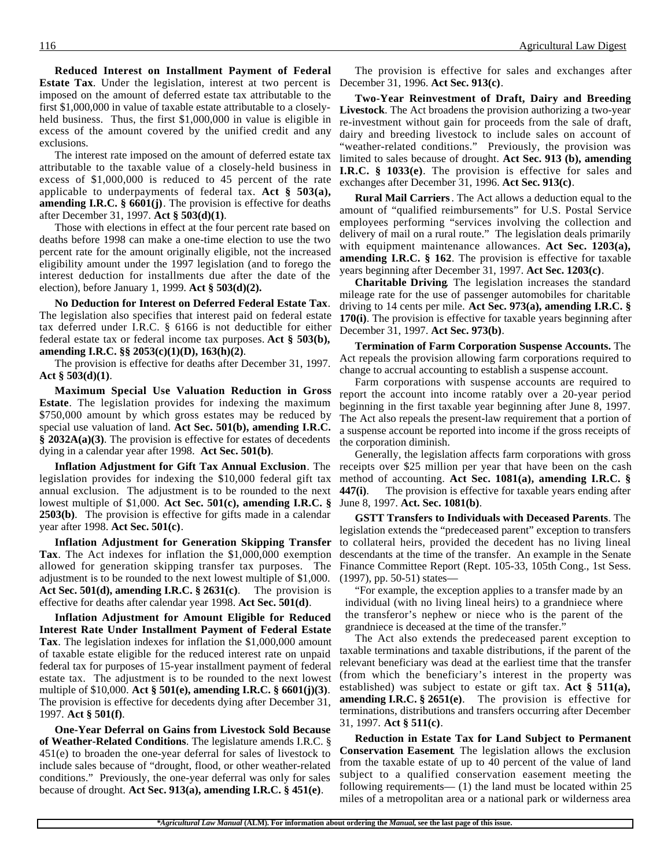**Reduced Interest on Installment Payment of Federal Estate Tax**. Under the legislation, interest at two percent is imposed on the amount of deferred estate tax attributable to the first \$1,000,000 in value of taxable estate attributable to a closelyheld business. Thus, the first \$1,000,000 in value is eligible in excess of the amount covered by the unified credit and any exclusions.

The interest rate imposed on the amount of deferred estate tax attributable to the taxable value of a closely-held business in excess of \$1,000,000 is reduced to 45 percent of the rate applicable to underpayments of federal tax. **Act § 503(a), amending I.R.C. § 6601(j)**. The provision is effective for deaths after December 31, 1997. **Act § 503(d)(1)**.

Those with elections in effect at the four percent rate based on deaths before 1998 can make a one-time election to use the two percent rate for the amount originally eligible, not the increased eligibility amount under the 1997 legislation (and to forego the interest deduction for installments due after the date of the election), before January 1, 1999. **Act § 503(d)(2).**

**No Deduction for Interest on Deferred Federal Estate Tax**. The legislation also specifies that interest paid on federal estate tax deferred under I.R.C. § 6166 is not deductible for either federal estate tax or federal income tax purposes. **Act § 503(b), amending I.R.C. §§ 2053(c)(1)(D), 163(h)(2)**.

The provision is effective for deaths after December 31, 1997. **Act § 503(d)(1)**.

**Maximum Special Use Valuation Reduction in Gross Estate**. The legislation provides for indexing the maximum \$750,000 amount by which gross estates may be reduced by special use valuation of land. **Act Sec. 501(b), amending I.R.C. § 2032A(a)(3)**. The provision is effective for estates of decedents dying in a calendar year after 1998. **Act Sec. 501(b)**.

legislation provides for indexing the \$10,000 federal gift tax annual exclusion. The adjustment is to be rounded to the next lowest multiple of \$1,000. **Act Sec. 501(c), amending I.R.C. § 2503(b)**. The provision is effective for gifts made in a calendar year after 1998. **Act Sec. 501(c)**.

**Inflation Adjustment for Generation Skipping Transfer Tax**. The Act indexes for inflation the \$1,000,000 exemption allowed for generation skipping transfer tax purposes. The adjustment is to be rounded to the next lowest multiple of \$1,000. **Act Sec. 501(d), amending I.R.C. § 2631(c)**. The provision is effective for deaths after calendar year 1998. **Act Sec. 501(d)**.

**Inflation Adjustment for Amount Eligible for Reduced Interest Rate Under Installment Payment of Federal Estate Tax**. The legislation indexes for inflation the \$1,000,000 amount of taxable estate eligible for the reduced interest rate on unpaid federal tax for purposes of 15-year installment payment of federal estate tax. The adjustment is to be rounded to the next lowest multiple of \$10,000. **Act § 501(e), amending I.R.C. § 6601(j)(3)**. The provision is effective for decedents dying after December 31, 1997. **Act § 501(f)**.

**One-Year Deferral on Gains from Livestock Sold Because of Weather-Related Conditions**. The legislature amends I.R.C. § 451(e) to broaden the one-year deferral for sales of livestock to include sales because of "drought, flood, or other weather-related conditions." Previously, the one-year deferral was only for sales because of drought. **Act Sec. 913(a), amending I.R.C. § 451(e)**.

The provision is effective for sales and exchanges after December 31, 1996. **Act Sec. 913(c)**.

**Two-Year Reinvestment of Draft, Dairy and Breeding Livestock**. The Act broadens the provision authorizing a two-year re-investment without gain for proceeds from the sale of draft, dairy and breeding livestock to include sales on account of "weather-related conditions." Previously, the provision was limited to sales because of drought. **Act Sec. 913 (b), amending I.R.C. § 1033(e)**. The provision is effective for sales and exchanges after December 31, 1996. **Act Sec. 913(c)**.

**Rural Mail Carriers**. The Act allows a deduction equal to the amount of "qualified reimbursements" for U.S. Postal Service employees performing "services involving the collection and delivery of mail on a rural route." The legislation deals primarily with equipment maintenance allowances. **Act Sec. 1203(a), amending I.R.C. § 162**. The provision is effective for taxable years beginning after December 31, 1997. **Act Sec. 1203(c)**.

**Charitable Driving**. The legislation increases the standard mileage rate for the use of passenger automobiles for charitable driving to 14 cents per mile. **Act Sec. 973(a), amending I.R.C. § 170(i)**. The provision is effective for taxable years beginning after December 31, 1997. **Act Sec. 973(b)**.

**Termination of Farm Corporation Suspense Accounts.** The Act repeals the provision allowing farm corporations required to change to accrual accounting to establish a suspense account.

Farm corporations with suspense accounts are required to report the account into income ratably over a 20-year period beginning in the first taxable year beginning after June 8, 1997. The Act also repeals the present-law requirement that a portion of a suspense account be reported into income if the gross receipts of the corporation diminish.

**Inflation Adjustment for Gift Tax Annual Exclusion**. The receipts over \$25 million per year that have been on the cash Generally, the legislation affects farm corporations with gross method of accounting. **Act Sec. 1081(a), amending I.R.C. § 447(i)**. The provision is effective for taxable years ending after June 8, 1997. **Act. Sec. 1081(b)**.

> **GSTT Transfers to Individuals with Deceased Parents**. The legislation extends the "predeceased parent" exception to transfers to collateral heirs, provided the decedent has no living lineal descendants at the time of the transfer. An example in the Senate Finance Committee Report (Rept. 105-33, 105th Cong., 1st Sess. (1997), pp. 50-51) states—

"For example, the exception applies to a transfer made by an individual (with no living lineal heirs) to a grandniece where the transferor's nephew or niece who is the parent of the grandniece is deceased at the time of the transfer."

The Act also extends the predeceased parent exception to taxable terminations and taxable distributions, if the parent of the relevant beneficiary was dead at the earliest time that the transfer (from which the beneficiary's interest in the property was established) was subject to estate or gift tax. **Act § 511(a), amending I.R.C. § 2651(e)**. The provision is effective for terminations, distributions and transfers occurring after December 31, 1997. **Act § 511(c)**.

**Reduction in Estate Tax for Land Subject to Permanent Conservation Easement**. The legislation allows the exclusion from the taxable estate of up to 40 percent of the value of land subject to a qualified conservation easement meeting the following requirements— (1) the land must be located within 25 miles of a metropolitan area or a national park or wilderness area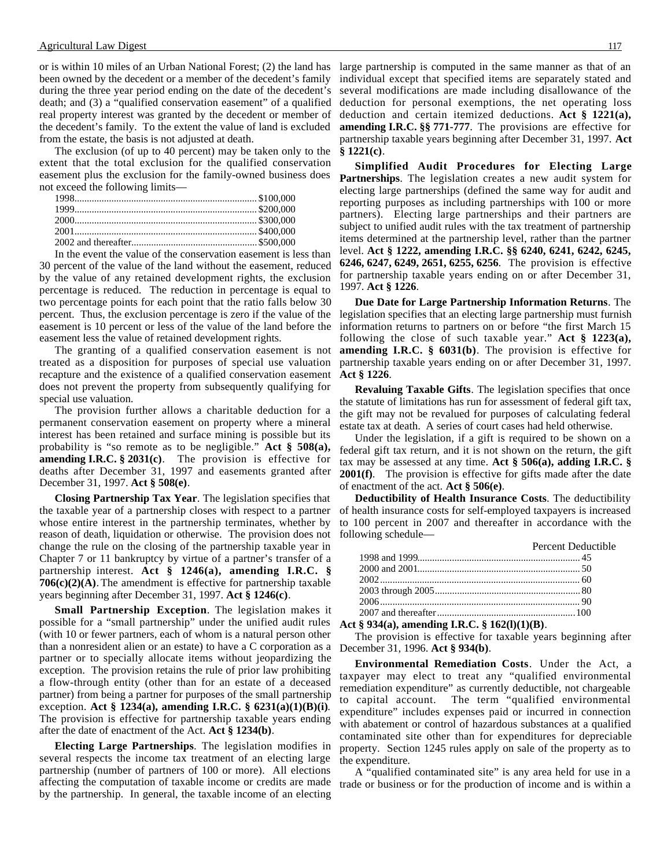#### Agricultural Law Digest 117

or is within 10 miles of an Urban National Forest; (2) the land has been owned by the decedent or a member of the decedent's family during the three year period ending on the date of the decedent's death; and (3) a "qualified conservation easement" of a qualified real property interest was granted by the decedent or member of the decedent's family. To the extent the value of land is excluded from the estate, the basis is not adjusted at death.

The exclusion (of up to 40 percent) may be taken only to the extent that the total exclusion for the qualified conservation easement plus the exclusion for the family-owned business does not exceed the following limits—

In the event the value of the conservation easement is less than 30 percent of the value of the land without the easement, reduced by the value of any retained development rights, the exclusion percentage is reduced. The reduction in percentage is equal to two percentage points for each point that the ratio falls below 30 percent. Thus, the exclusion percentage is zero if the value of the easement is 10 percent or less of the value of the land before the easement less the value of retained development rights.

The granting of a qualified conservation easement is not treated as a disposition for purposes of special use valuation recapture and the existence of a qualified conservation easement does not prevent the property from subsequently qualifying for special use valuation.

The provision further allows a charitable deduction for a permanent conservation easement on property where a mineral interest has been retained and surface mining is possible but its probability is "so remote as to be negligible." **Act § 508(a), amending I.R.C. § 2031(c)**. The provision is effective for deaths after December 31, 1997 and easements granted after December 31, 1997. **Act § 508(e)**.

**Closing Partnership Tax Year**. The legislation specifies that the taxable year of a partnership closes with respect to a partner whose entire interest in the partnership terminates, whether by reason of death, liquidation or otherwise. The provision does not change the rule on the closing of the partnership taxable year in Chapter 7 or 11 bankruptcy by virtue of a partner's transfer of a partnership interest. **Act § 1246(a), amending I.R.C. § 706(c)(2)(A)**. The amendment is effective for partnership taxable years beginning after December 31, 1997. **Act § 1246(c)**.

**Small Partnership Exception**. The legislation makes it possible for a "small partnership" under the unified audit rules (with 10 or fewer partners, each of whom is a natural person other than a nonresident alien or an estate) to have a C corporation as a partner or to specially allocate items without jeopardizing the exception. The provision retains the rule of prior law prohibiting a flow-through entity (other than for an estate of a deceased partner) from being a partner for purposes of the small partnership exception. **Act § 1234(a), amending I.R.C. § 6231(a)(1)(B)(i)**. The provision is effective for partnership taxable years ending after the date of enactment of the Act. **Act § 1234(b)**.

**Electing Large Partnerships**. The legislation modifies in several respects the income tax treatment of an electing large partnership (number of partners of 100 or more). All elections affecting the computation of taxable income or credits are made by the partnership. In general, the taxable income of an electing

large partnership is computed in the same manner as that of an individual except that specified items are separately stated and several modifications are made including disallowance of the deduction for personal exemptions, the net operating loss deduction and certain itemized deductions. **Act § 1221(a), amending I.R.C. §§ 771-777**. The provisions are effective for partnership taxable years beginning after December 31, 1997. **Act § 1221(c)**.

**Simplified Audit Procedures for Electing Large Partnerships**. The legislation creates a new audit system for electing large partnerships (defined the same way for audit and reporting purposes as including partnerships with 100 or more partners). Electing large partnerships and their partners are subject to unified audit rules with the tax treatment of partnership items determined at the partnership level, rather than the partner level. **Act § 1222, amending I.R.C. §§ 6240, 6241, 6242, 6245, 6246, 6247, 6249, 2651, 6255, 6256**. The provision is effective for partnership taxable years ending on or after December 31, 1997. **Act § 1226**.

**Due Date for Large Partnership Information Returns**. The legislation specifies that an electing large partnership must furnish information returns to partners on or before "the first March 15 following the close of such taxable year." **Act § 1223(a), amending I.R.C. § 6031(b)**. The provision is effective for partnership taxable years ending on or after December 31, 1997. **Act § 1226**.

**Revaluing Taxable Gifts**. The legislation specifies that once the statute of limitations has run for assessment of federal gift tax, the gift may not be revalued for purposes of calculating federal estate tax at death. A series of court cases had held otherwise.

Under the legislation, if a gift is required to be shown on a federal gift tax return, and it is not shown on the return, the gift tax may be assessed at any time. **Act § 506(a), adding I.R.C. § 2001(f)**. The provision is effective for gifts made after the date of enactment of the act. **Act § 506(e)**.

**Deductibility of Health Insurance Costs**. The deductibility of health insurance costs for self-employed taxpayers is increased to 100 percent in 2007 and thereafter in accordance with the following schedule—

| <b>Percent Deductible</b> |
|---------------------------|
|                           |
|                           |
|                           |
|                           |
|                           |
|                           |

#### **Act § 934(a), amending I.R.C. § 162(l)(1)(B)**.

The provision is effective for taxable years beginning after December 31, 1996. **Act § 934(b)**.

**Environmental Remediation Costs**. Under the Act, a taxpayer may elect to treat any "qualified environmental remediation expenditure" as currently deductible, not chargeable to capital account. The term "qualified environmental expenditure" includes expenses paid or incurred in connection with abatement or control of hazardous substances at a qualified contaminated site other than for expenditures for depreciable property. Section 1245 rules apply on sale of the property as to the expenditure.

A "qualified contaminated site" is any area held for use in a trade or business or for the production of income and is within a